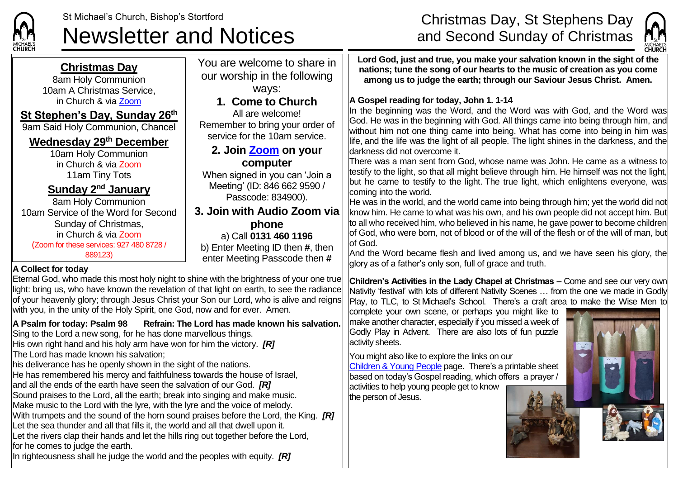

# Newsletter and Notices and Second Sunday of Christmas

## St Michael's Church, Bishop's Stortford **Exercise 2018** Christmas Day, St Stephens Day



#### **Christmas Day**

8am Holy Communion 10am A Christmas Service, in Church & via [Zoom](https://zoom.us/)

#### **St Stephen's Day, Sunday 26th**

9am Said Holy Communion, Chancel

#### **Wednesday 29th December**

10am Holy Communion in Church & via [Zoom](https://zoom.us/) 11am Tiny Tots

#### **Sunday 2 nd January**

8am Holy Communion 10am Service of the Word for Second Sunday of Christmas, in Church & via [Zoom](https://zoom.us/) ([Zoom](https://zoom.us/) for these services: 927 480 8728 / 889123)

#### ways: **1. Come to Church** All are welcome! Remember to bring your order of service for the 10am service. **2. Join [Zoom](https://zoom.us/) on your computer** When signed in you can 'Join a Meeting' (ID: 846 662 9590 / Passcode: 834900). **3. Join with Audio Zoom via phone** a) Call **0131 460 1196**

You are welcome to share in our worship in the following

b) Enter Meeting ID then **#**, then enter Meeting Passcode then **#**

#### **A Collect for today**

Eternal God, who made this most holy night to shine with the brightness of your one true light: bring us, who have known the revelation of that light on earth, to see the radiance of your heavenly glory; through Jesus Christ your Son our Lord, who is alive and reigns with you, in the unity of the Holy Spirit, one God, now and for ever. Amen.

#### **A Psalm for today: Psalm 98 Refrain: The Lord has made known his salvation.**

Sing to the Lord a new song, for he has done marvellous things.

His own right hand and his holy arm have won for him the victory. *[R]* The Lord has made known his salvation;

his deliverance has he openly shown in the sight of the nations.

He has remembered his mercy and faithfulness towards the house of Israel,

and all the ends of the earth have seen the salvation of our God. *[R]* Sound praises to the Lord, all the earth; break into singing and make music.

Make music to the Lord with the lyre, with the lyre and the voice of melody.

With trumpets and the sound of the horn sound praises before the Lord, the King. *[R]*

Let the sea thunder and all that fills it, the world and all that dwell upon it.

Let the rivers clap their hands and let the hills ring out together before the Lord, for he comes to judge the earth.

In righteousness shall he judge the world and the peoples with equity. *[R]*

**Lord God, just and true, you make your salvation known in the sight of the nations; tune the song of our hearts to the music of creation as you come among us to judge the earth; through our Saviour Jesus Christ. Amen.**

#### **A Gospel reading for today, John 1. 1-14**

In the beginning was the Word, and the Word was with God, and the Word was God. He was in the beginning with God. All things came into being through him, and without him not one thing came into being. What has come into being in him was life, and the life was the light of all people. The light shines in the darkness, and the darkness did not overcome it.

There was a man sent from God, whose name was John. He came as a witness to testify to the light, so that all might believe through him. He himself was not the light, but he came to testify to the light. The true light, which enlightens everyone, was coming into the world.

He was in the world, and the world came into being through him; yet the world did not know him. He came to what was his own, and his own people did not accept him. But to all who received him, who believed in his name, he gave power to become children of God, who were born, not of blood or of the will of the flesh or of the will of man, but of God.

And the Word became flesh and lived among us, and we have seen his glory, the glory as of a father's only son, full of grace and truth.

**Children's Activities in the Lady Chapel at Christmas –** Come and see our very own Nativity 'festival' with lots of different Nativity Scenes … from the one we made in Godly Play, to TLC, to St Michael's School. There's a craft area to make the Wise Men to

complete your own scene, or perhaps you might like to make another character, especially if you missed a week of Godly Play in Advent. There are also lots of fun puzzle activity sheets.

You might also like to explore the links on our [Children & Young People](https://saintmichaelweb.org.uk/Groups/310496/Children_and_Young.aspx) page. There's a [printable sheet](https://saintmichaelweb.org.uk/Groups/310496/Children_and_Young.aspx) based on today's Gospel reading, which offers a prayer / activities to help young people get to know the person of Jesus.